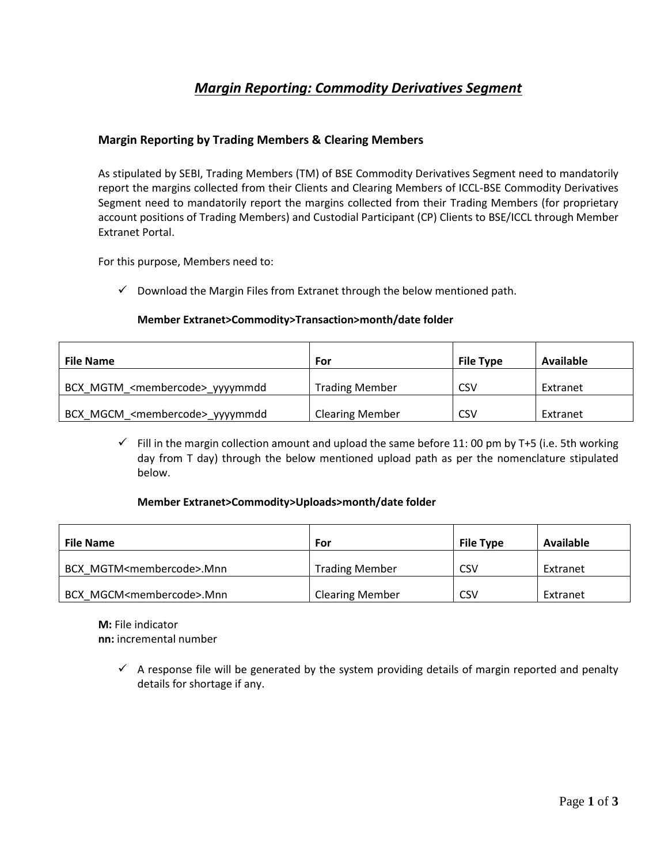# *Margin Reporting: Commodity Derivatives Segment*

### **Margin Reporting by Trading Members & Clearing Members**

As stipulated by SEBI, Trading Members (TM) of BSE Commodity Derivatives Segment need to mandatorily report the margins collected from their Clients and Clearing Members of ICCL-BSE Commodity Derivatives Segment need to mandatorily report the margins collected from their Trading Members (for proprietary account positions of Trading Members) and Custodial Participant (CP) Clients to BSE/ICCL through Member Extranet Portal.

For this purpose, Members need to:

 $\checkmark$  Download the Margin Files from Extranet through the below mentioned path.

#### **Member Extranet>Commodity>Transaction>month/date folder**

| <b>File Name</b>                            | For                    | <b>File Type</b> | Available |
|---------------------------------------------|------------------------|------------------|-----------|
| BCX MGTM <membercode> yyyymmdd</membercode> | <b>Trading Member</b>  | <b>CSV</b>       | Extranet  |
| BCX MGCM <membercode>_yyyymmdd</membercode> | <b>Clearing Member</b> | CSV              | Extranet  |

 $\checkmark$  Fill in the margin collection amount and upload the same before 11: 00 pm by T+5 (i.e. 5th working day from T day) through the below mentioned upload path as per the nomenclature stipulated below.

#### **Member Extranet>Commodity>Uploads>month/date folder**

| <b>File Name</b>                       | For                    | <b>File Type</b> | Available |
|----------------------------------------|------------------------|------------------|-----------|
| BCX MGTM <membercode>.Mnn</membercode> | <b>Trading Member</b>  | CSV              | Extranet  |
| BCX MGCM <membercode>.Mnn</membercode> | <b>Clearing Member</b> | CSV              | Extranet  |

**M:** File indicator **nn:** incremental number

> $\checkmark$  A response file will be generated by the system providing details of margin reported and penalty details for shortage if any.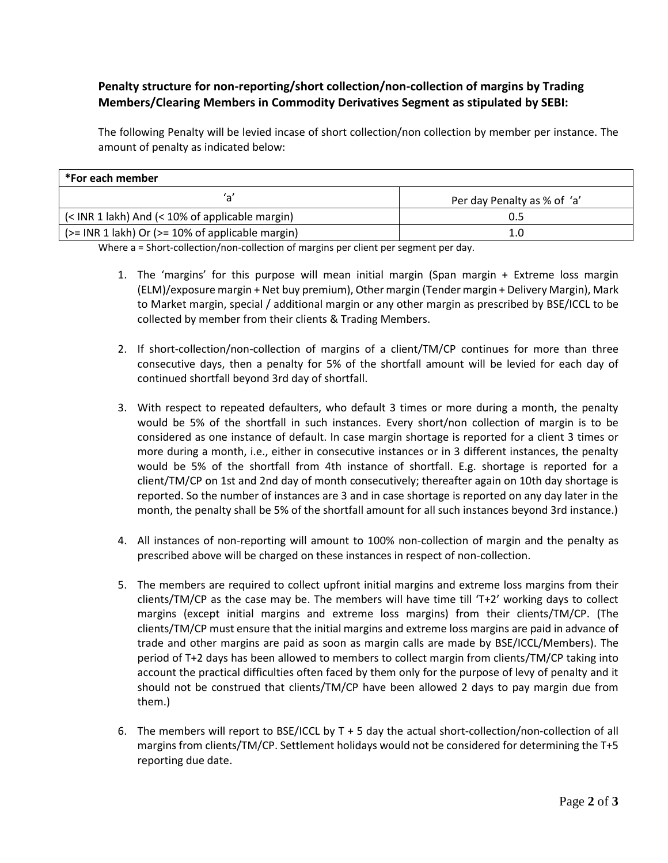## **Penalty structure for non-reporting/short collection/non-collection of margins by Trading Members/Clearing Members in Commodity Derivatives Segment as stipulated by SEBI:**

The following Penalty will be levied incase of short collection/non collection by member per instance. The amount of penalty as indicated below:

| *For each member                                       |                             |  |  |
|--------------------------------------------------------|-----------------------------|--|--|
| 'a'                                                    | Per day Penalty as % of 'a' |  |  |
| $\sim$ (< INR 1 lakh) And (< 10% of applicable margin) | Ս.5                         |  |  |
| $(>=$ INR 1 lakh) Or ( $>=$ 10% of applicable margin)  | 1.0                         |  |  |

Where a = Short-collection/non-collection of margins per client per segment per day.

- 1. The 'margins' for this purpose will mean initial margin (Span margin + Extreme loss margin (ELM)/exposure margin + Net buy premium), Other margin (Tender margin + Delivery Margin), Mark to Market margin, special / additional margin or any other margin as prescribed by BSE/ICCL to be collected by member from their clients & Trading Members.
- 2. If short-collection/non-collection of margins of a client/TM/CP continues for more than three consecutive days, then a penalty for 5% of the shortfall amount will be levied for each day of continued shortfall beyond 3rd day of shortfall.
- 3. With respect to repeated defaulters, who default 3 times or more during a month, the penalty would be 5% of the shortfall in such instances. Every short/non collection of margin is to be considered as one instance of default. In case margin shortage is reported for a client 3 times or more during a month, i.e., either in consecutive instances or in 3 different instances, the penalty would be 5% of the shortfall from 4th instance of shortfall. E.g. shortage is reported for a client/TM/CP on 1st and 2nd day of month consecutively; thereafter again on 10th day shortage is reported. So the number of instances are 3 and in case shortage is reported on any day later in the month, the penalty shall be 5% of the shortfall amount for all such instances beyond 3rd instance.)
- 4. All instances of non-reporting will amount to 100% non-collection of margin and the penalty as prescribed above will be charged on these instances in respect of non-collection.
- 5. The members are required to collect upfront initial margins and extreme loss margins from their clients/TM/CP as the case may be. The members will have time till 'T+2' working days to collect margins (except initial margins and extreme loss margins) from their clients/TM/CP. (The clients/TM/CP must ensure that the initial margins and extreme loss margins are paid in advance of trade and other margins are paid as soon as margin calls are made by BSE/ICCL/Members). The period of T+2 days has been allowed to members to collect margin from clients/TM/CP taking into account the practical difficulties often faced by them only for the purpose of levy of penalty and it should not be construed that clients/TM/CP have been allowed 2 days to pay margin due from them.)
- 6. The members will report to BSE/ICCL by  $T + 5$  day the actual short-collection/non-collection of all margins from clients/TM/CP. Settlement holidays would not be considered for determining the T+5 reporting due date.